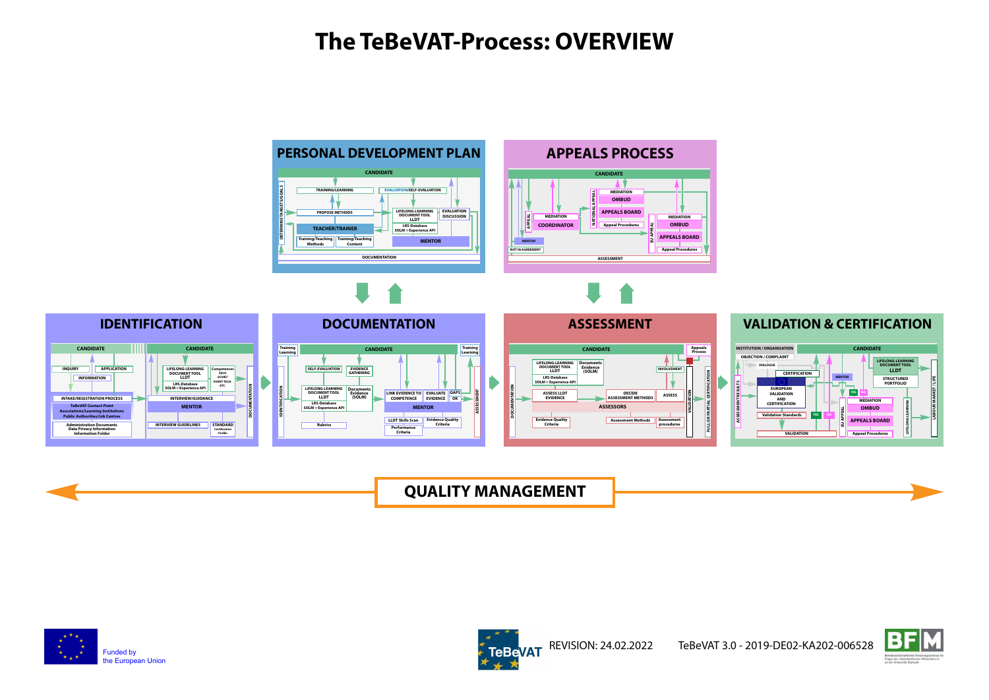### **The TeBeVAT-Process: OVERVIEW**



**QUALITY MANAGEMENT**







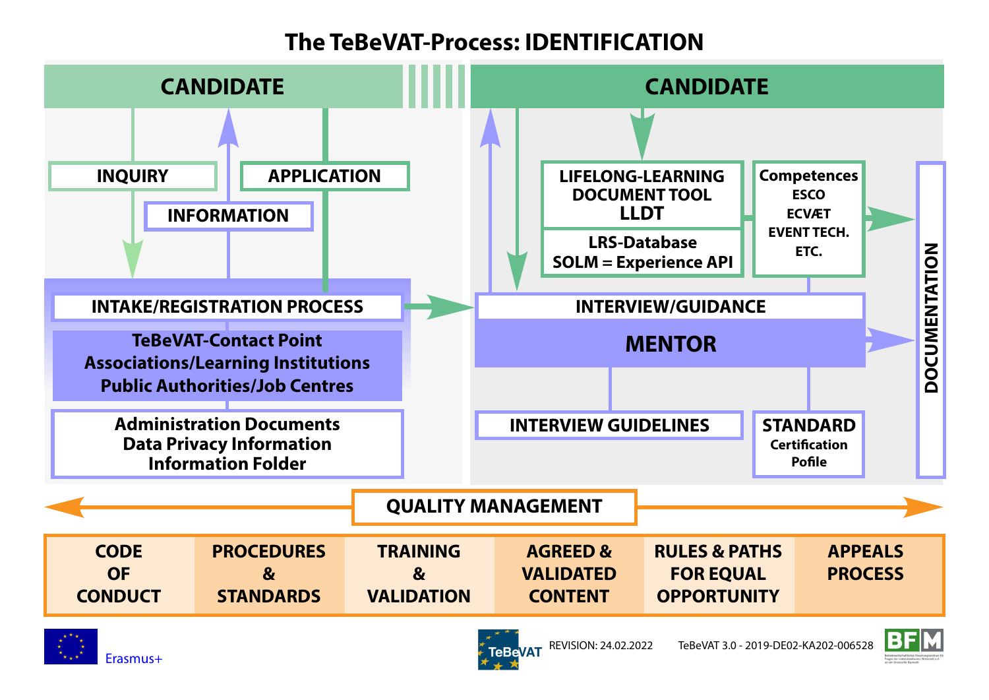## **The TeBeVAT-Process: IDENTIFICATION**





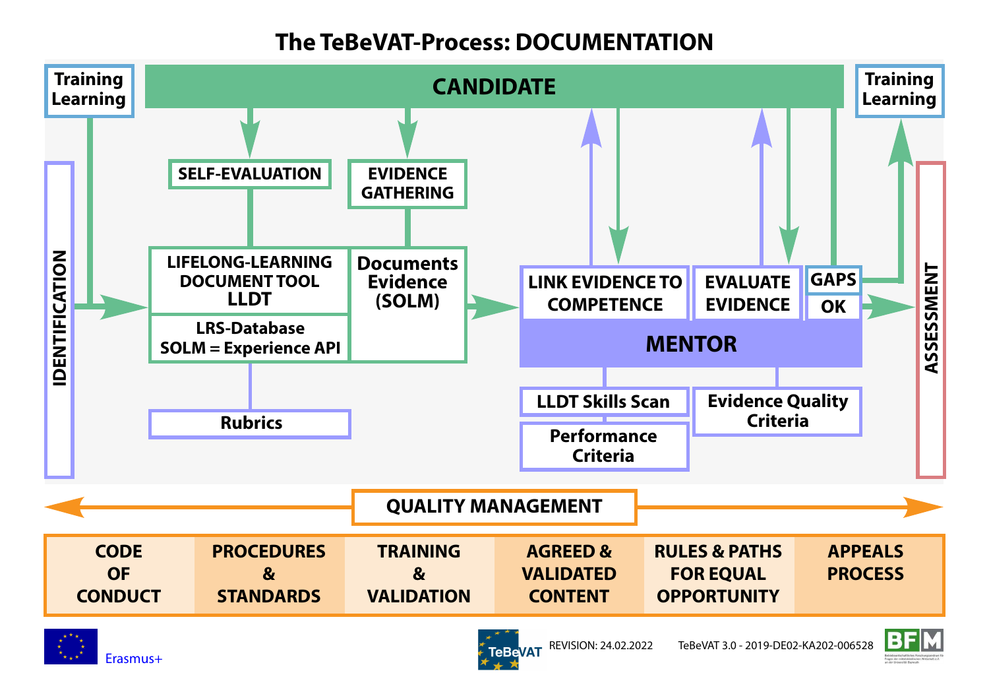# **The TeBeVAT-Process: DOCUMENTATION**



**TeBeVAT** 

Erasmus+

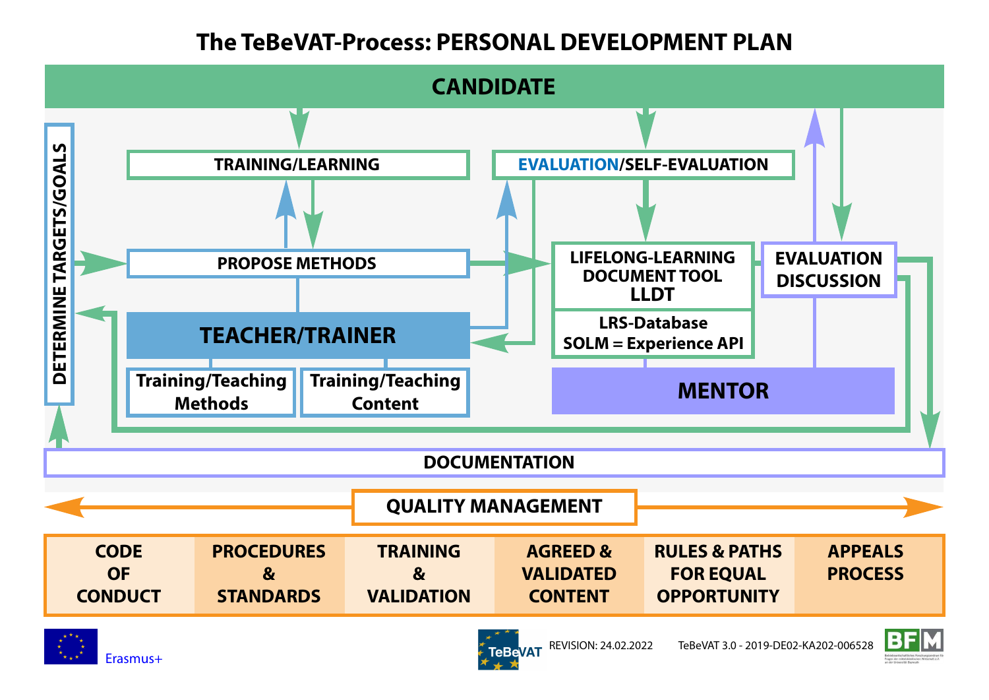### **The TeBeVAT-Process: PERSONAL DEVELOPMENT PLAN**



**TeBeVAT** 

REVISION: 24.02.2022 TeBeVAT 3.0 - 2019-DE02-KA202-006528

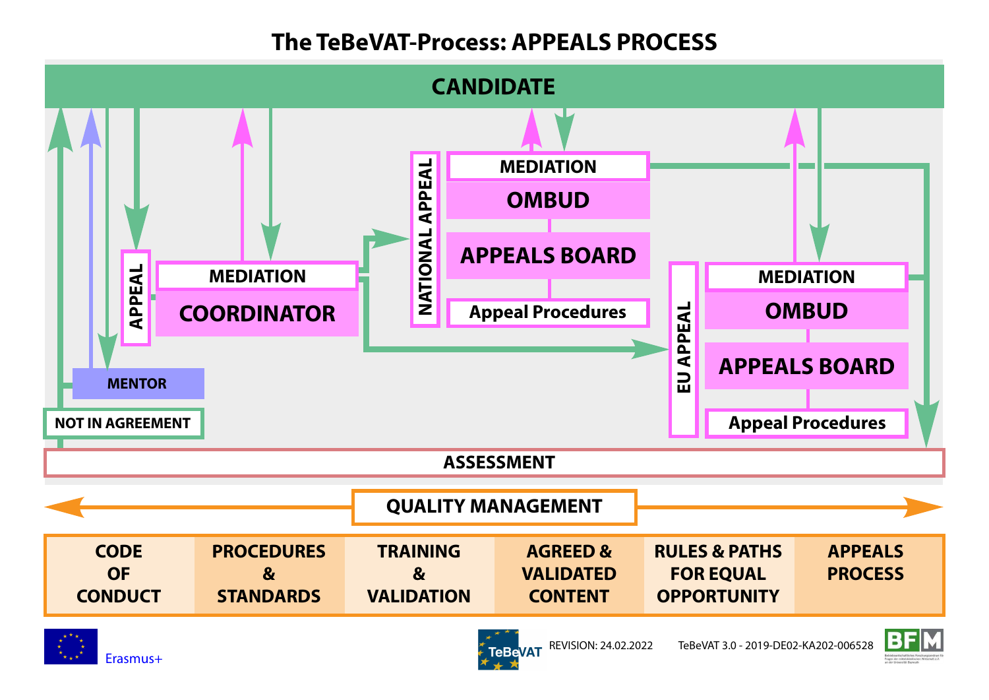# **The TeBeVAT-Process: APPEALS PROCESS**





**TeBeVAT** 

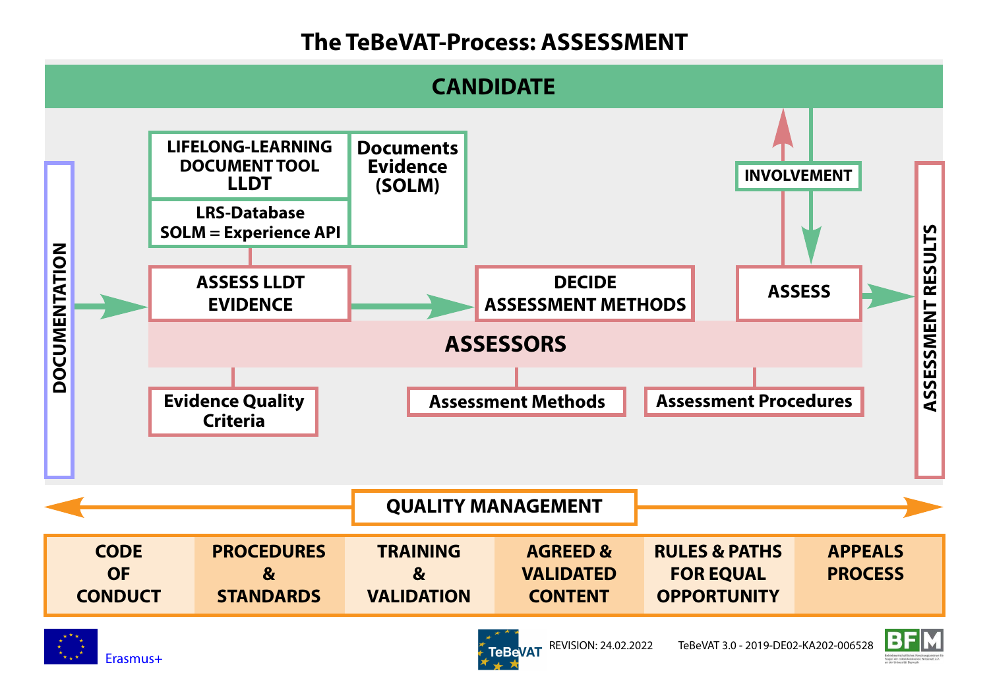# **The TeBeVAT-Process: ASSESSMENT**

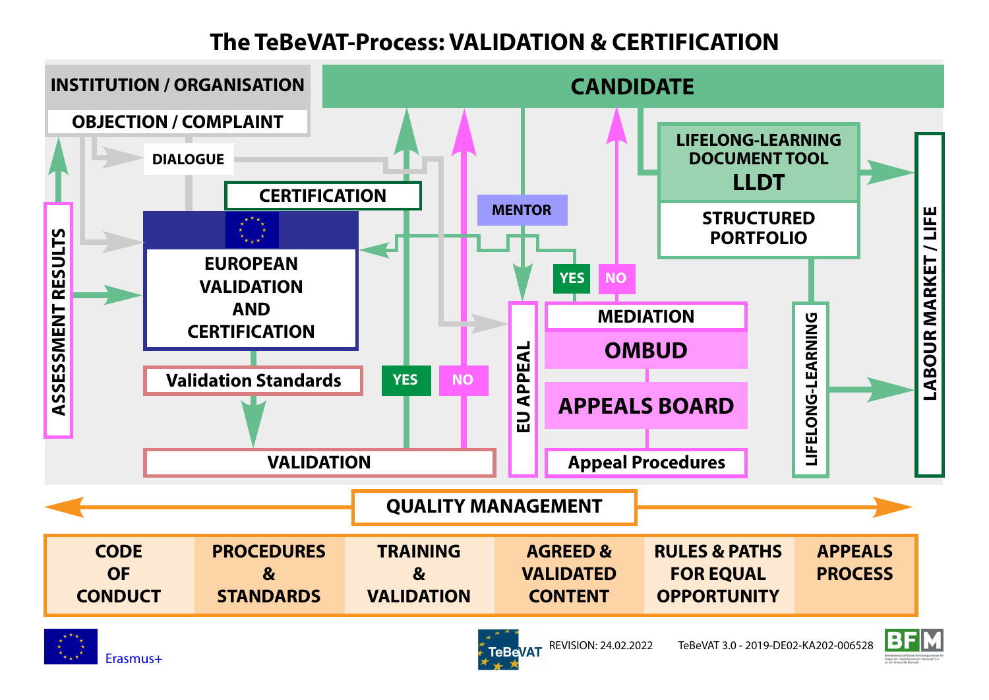# **The TeBeVAT-Process: VALIDATION & CERTIFICATION**





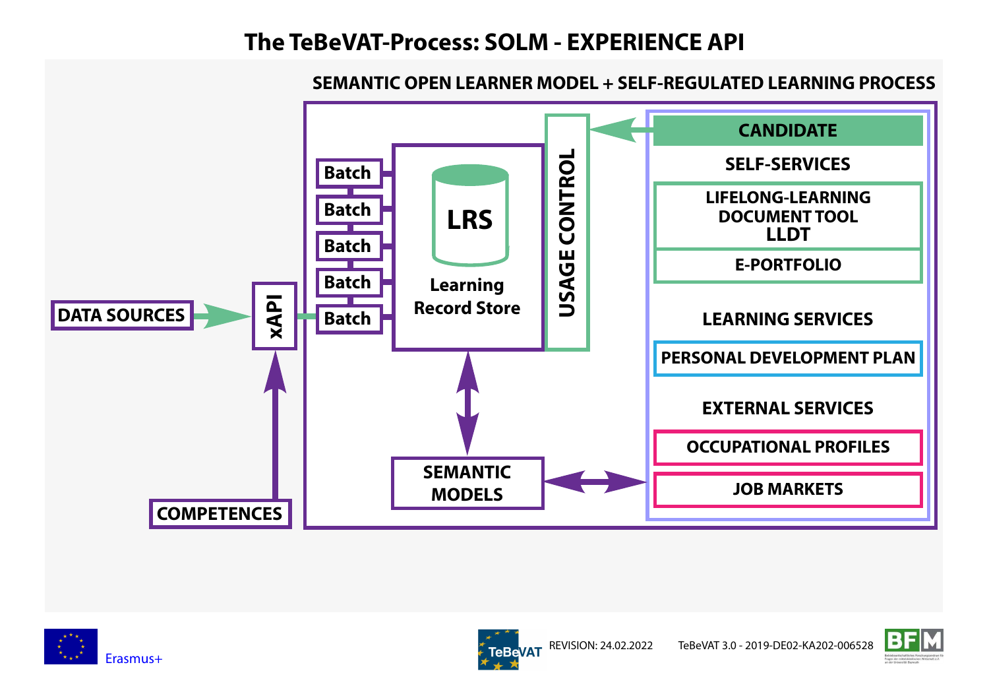## **The TeBeVAT-Process: SOLM - EXPERIENCE API**